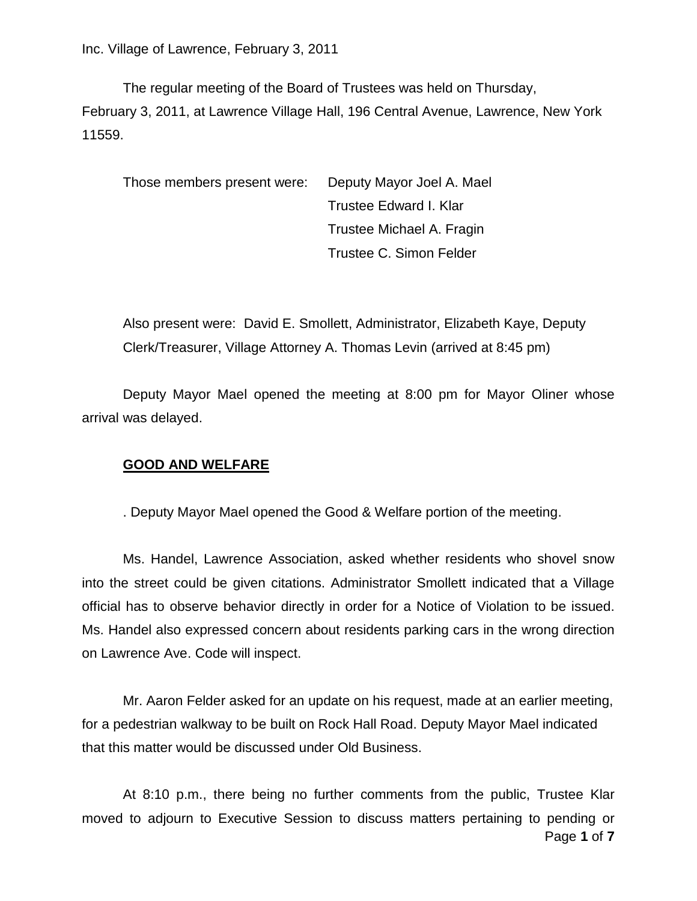The regular meeting of the Board of Trustees was held on Thursday, February 3, 2011, at Lawrence Village Hall, 196 Central Avenue, Lawrence, New York 11559.

Those members present were: Deputy Mayor Joel A. Mael Trustee Edward I. Klar Trustee Michael A. Fragin Trustee C. Simon Felder

Also present were: David E. Smollett, Administrator, Elizabeth Kaye, Deputy Clerk/Treasurer, Village Attorney A. Thomas Levin (arrived at 8:45 pm)

Deputy Mayor Mael opened the meeting at 8:00 pm for Mayor Oliner whose arrival was delayed.

# **GOOD AND WELFARE**

. Deputy Mayor Mael opened the Good & Welfare portion of the meeting.

Ms. Handel, Lawrence Association, asked whether residents who shovel snow into the street could be given citations. Administrator Smollett indicated that a Village official has to observe behavior directly in order for a Notice of Violation to be issued. Ms. Handel also expressed concern about residents parking cars in the wrong direction on Lawrence Ave. Code will inspect.

Mr. Aaron Felder asked for an update on his request, made at an earlier meeting, for a pedestrian walkway to be built on Rock Hall Road. Deputy Mayor Mael indicated that this matter would be discussed under Old Business.

Page **1** of **7** At 8:10 p.m., there being no further comments from the public, Trustee Klar moved to adjourn to Executive Session to discuss matters pertaining to pending or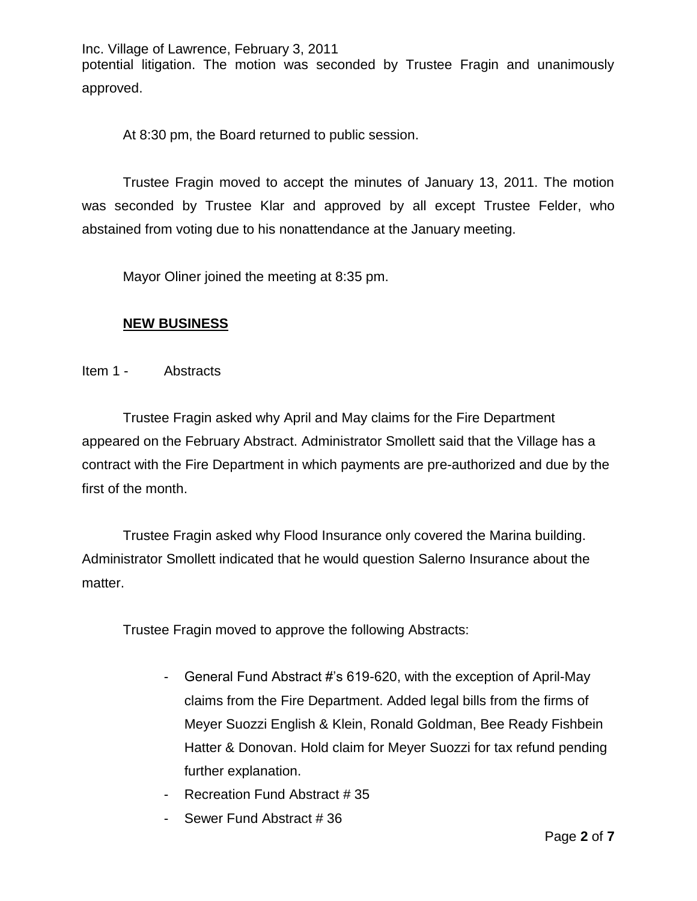Inc. Village of Lawrence, February 3, 2011 potential litigation. The motion was seconded by Trustee Fragin and unanimously approved.

At 8:30 pm, the Board returned to public session.

Trustee Fragin moved to accept the minutes of January 13, 2011. The motion was seconded by Trustee Klar and approved by all except Trustee Felder, who abstained from voting due to his nonattendance at the January meeting.

Mayor Oliner joined the meeting at 8:35 pm.

# **NEW BUSINESS**

Item 1 - Abstracts

Trustee Fragin asked why April and May claims for the Fire Department appeared on the February Abstract. Administrator Smollett said that the Village has a contract with the Fire Department in which payments are pre-authorized and due by the first of the month.

Trustee Fragin asked why Flood Insurance only covered the Marina building. Administrator Smollett indicated that he would question Salerno Insurance about the matter.

Trustee Fragin moved to approve the following Abstracts:

- General Fund Abstract #'s 619-620, with the exception of April-May claims from the Fire Department. Added legal bills from the firms of Meyer Suozzi English & Klein, Ronald Goldman, Bee Ready Fishbein Hatter & Donovan. Hold claim for Meyer Suozzi for tax refund pending further explanation.
- Recreation Fund Abstract # 35
- Sewer Fund Abstract # 36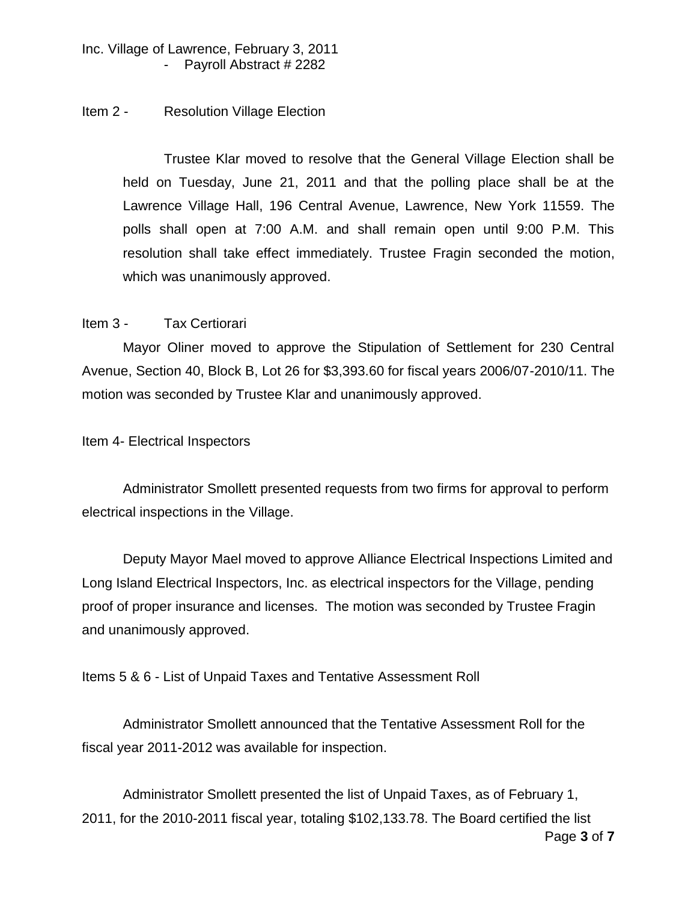### Item 2 - Resolution Village Election

Trustee Klar moved to resolve that the General Village Election shall be held on Tuesday, June 21, 2011 and that the polling place shall be at the Lawrence Village Hall, 196 Central Avenue, Lawrence, New York 11559. The polls shall open at 7:00 A.M. and shall remain open until 9:00 P.M. This resolution shall take effect immediately. Trustee Fragin seconded the motion, which was unanimously approved.

### Item 3 - Tax Certiorari

Mayor Oliner moved to approve the Stipulation of Settlement for 230 Central Avenue, Section 40, Block B, Lot 26 for \$3,393.60 for fiscal years 2006/07-2010/11. The motion was seconded by Trustee Klar and unanimously approved.

Item 4- Electrical Inspectors

Administrator Smollett presented requests from two firms for approval to perform electrical inspections in the Village.

Deputy Mayor Mael moved to approve Alliance Electrical Inspections Limited and Long Island Electrical Inspectors, Inc. as electrical inspectors for the Village, pending proof of proper insurance and licenses. The motion was seconded by Trustee Fragin and unanimously approved.

Items 5 & 6 - List of Unpaid Taxes and Tentative Assessment Roll

Administrator Smollett announced that the Tentative Assessment Roll for the fiscal year 2011-2012 was available for inspection.

Page **3** of **7** Administrator Smollett presented the list of Unpaid Taxes, as of February 1, 2011, for the 2010-2011 fiscal year, totaling \$102,133.78. The Board certified the list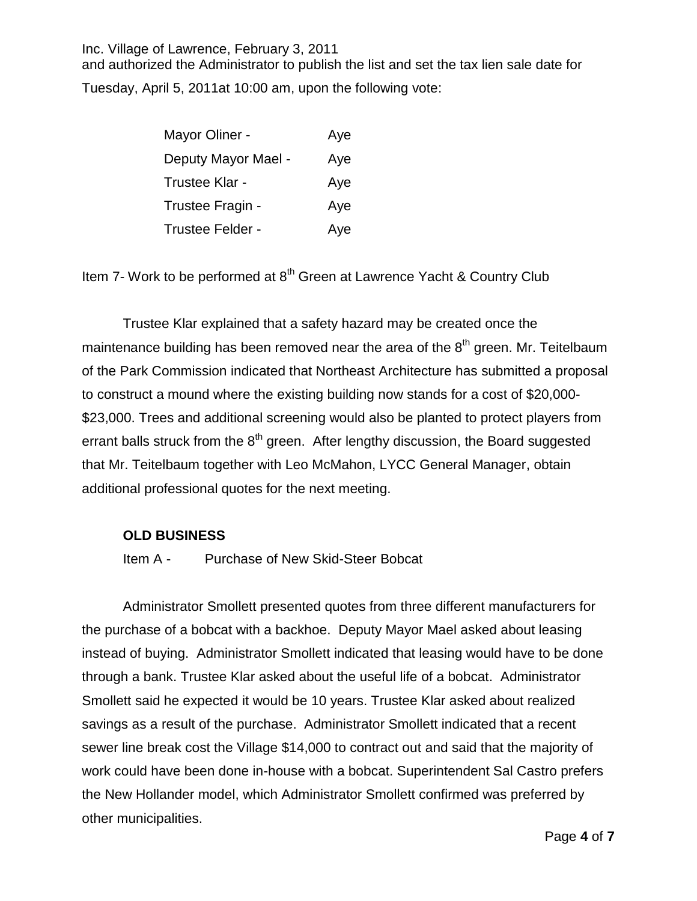and authorized the Administrator to publish the list and set the tax lien sale date for Tuesday, April 5, 2011at 10:00 am, upon the following vote:

| Mayor Oliner -      | Aye |
|---------------------|-----|
| Deputy Mayor Mael - | Aye |
| Trustee Klar -      | Aye |
| Trustee Fragin -    | Aye |
| Trustee Felder -    | Aye |

Item 7- Work to be performed at 8<sup>th</sup> Green at Lawrence Yacht & Country Club

Trustee Klar explained that a safety hazard may be created once the maintenance building has been removed near the area of the  $8^{\text{th}}$  green. Mr. Teitelbaum of the Park Commission indicated that Northeast Architecture has submitted a proposal to construct a mound where the existing building now stands for a cost of \$20,000- \$23,000. Trees and additional screening would also be planted to protect players from errant balls struck from the  $8<sup>th</sup>$  green. After lengthy discussion, the Board suggested that Mr. Teitelbaum together with Leo McMahon, LYCC General Manager, obtain additional professional quotes for the next meeting.

#### **OLD BUSINESS**

Item A - Purchase of New Skid-Steer Bobcat

Administrator Smollett presented quotes from three different manufacturers for the purchase of a bobcat with a backhoe. Deputy Mayor Mael asked about leasing instead of buying. Administrator Smollett indicated that leasing would have to be done through a bank. Trustee Klar asked about the useful life of a bobcat. Administrator Smollett said he expected it would be 10 years. Trustee Klar asked about realized savings as a result of the purchase. Administrator Smollett indicated that a recent sewer line break cost the Village \$14,000 to contract out and said that the majority of work could have been done in-house with a bobcat. Superintendent Sal Castro prefers the New Hollander model, which Administrator Smollett confirmed was preferred by other municipalities.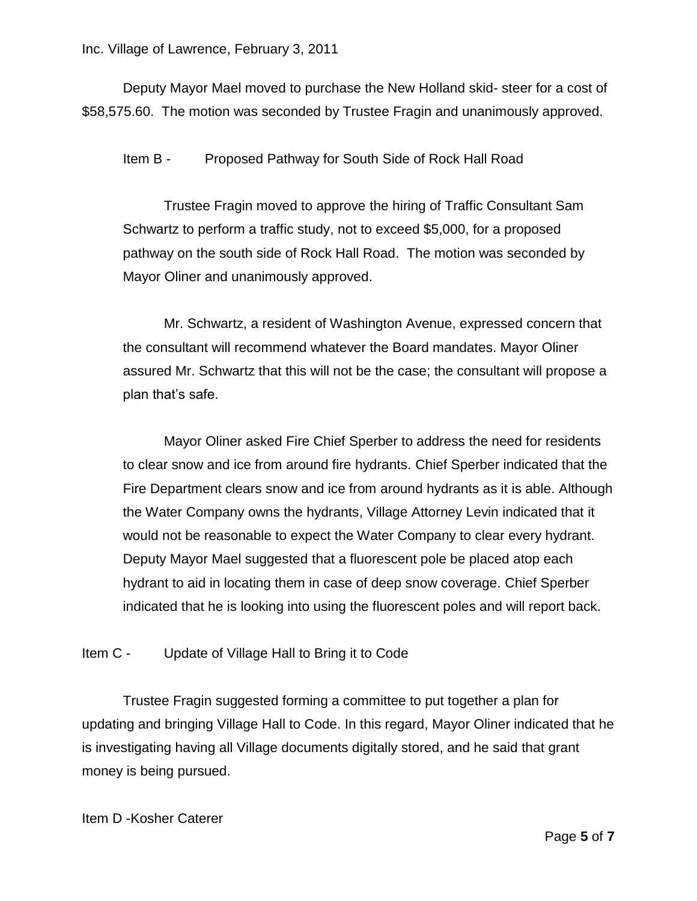Deputy Mayor Mael moved to purchase the New Holland skid- steer for a cost of \$58,575.60. The motion was seconded by Trustee Fragin and unanimously approved.

Item B - Proposed Pathway for South Side of Rock Hall Road

Trustee Fragin moved to approve the hiring of Traffic Consultant Sam Schwartz to perform a traffic study, not to exceed \$5,000, for a proposed pathway on the south side of Rock Hall Road. The motion was seconded by Mayor Oliner and unanimously approved.

Mr. Schwartz, a resident of Washington Avenue, expressed concern that the consultant will recommend whatever the Board mandates. Mayor Oliner assured Mr. Schwartz that this will not be the case; the consultant will propose a plan that's safe.

Mayor Oliner asked Fire Chief Sperber to address the need for residents to clear snow and ice from around fire hydrants. Chief Sperber indicated that the Fire Department clears snow and ice from around hydrants as it is able. Although the Water Company owns the hydrants, Village Attorney Levin indicated that it would not be reasonable to expect the Water Company to clear every hydrant. Deputy Mayor Mael suggested that a fluorescent pole be placed atop each hydrant to aid in locating them in case of deep snow coverage. Chief Sperber indicated that he is looking into using the fluorescent poles and will report back.

Item C - Update of Village Hall to Bring it to Code

Trustee Fragin suggested forming a committee to put together a plan for updating and bringing Village Hall to Code. In this regard, Mayor Oliner indicated that he is investigating having all Village documents digitally stored, and he said that grant money is being pursued.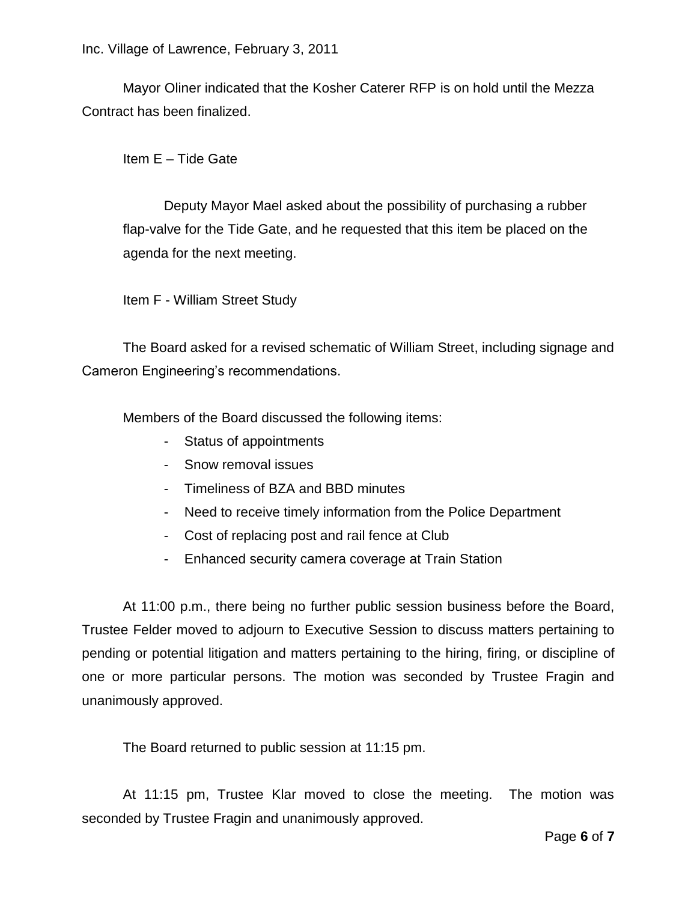Mayor Oliner indicated that the Kosher Caterer RFP is on hold until the Mezza Contract has been finalized.

Item E – Tide Gate

Deputy Mayor Mael asked about the possibility of purchasing a rubber flap-valve for the Tide Gate, and he requested that this item be placed on the agenda for the next meeting.

Item F - William Street Study

The Board asked for a revised schematic of William Street, including signage and Cameron Engineering's recommendations.

Members of the Board discussed the following items:

- Status of appointments
- Snow removal issues
- Timeliness of BZA and BBD minutes
- Need to receive timely information from the Police Department
- Cost of replacing post and rail fence at Club
- Enhanced security camera coverage at Train Station

At 11:00 p.m., there being no further public session business before the Board, Trustee Felder moved to adjourn to Executive Session to discuss matters pertaining to pending or potential litigation and matters pertaining to the hiring, firing, or discipline of one or more particular persons. The motion was seconded by Trustee Fragin and unanimously approved.

The Board returned to public session at 11:15 pm.

At 11:15 pm, Trustee Klar moved to close the meeting. The motion was seconded by Trustee Fragin and unanimously approved.